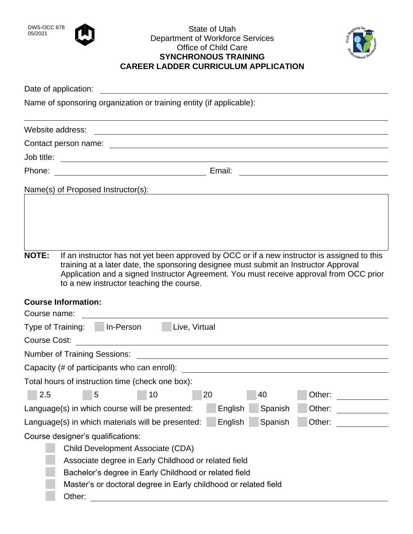

## DWS-OCC 678<br>05/2021 State of Utah Department of Workforce Services Office of Child Care **SYNCHRONOUS TRAINING CAREER LADDER CURRICULUM APPLICATION**



Date of application:

Name of sponsoring organization or training entity (if applicable):

|              | Website address:                                                                                                                                                                                                                                                                                                            |
|--------------|-----------------------------------------------------------------------------------------------------------------------------------------------------------------------------------------------------------------------------------------------------------------------------------------------------------------------------|
|              | Contact person name:                                                                                                                                                                                                                                                                                                        |
| Job title:   |                                                                                                                                                                                                                                                                                                                             |
| Phone:       | Email:<br><u> 1980 - Johann Barbara, martin a</u>                                                                                                                                                                                                                                                                           |
|              | Name(s) of Proposed Instructor(s):                                                                                                                                                                                                                                                                                          |
|              |                                                                                                                                                                                                                                                                                                                             |
|              |                                                                                                                                                                                                                                                                                                                             |
|              |                                                                                                                                                                                                                                                                                                                             |
|              |                                                                                                                                                                                                                                                                                                                             |
| <b>NOTE:</b> | If an instructor has not yet been approved by OCC or if a new instructor is assigned to this<br>training at a later date, the sponsoring designee must submit an Instructor Approval<br>Application and a signed Instructor Agreement. You must receive approval from OCC prior<br>to a new instructor teaching the course. |
|              | <b>Course Information:</b>                                                                                                                                                                                                                                                                                                  |
| Course name: |                                                                                                                                                                                                                                                                                                                             |

| In-Person<br>Live, Virtual<br>Type of Training:                                   |  |  |  |
|-----------------------------------------------------------------------------------|--|--|--|
| <b>Course Cost:</b>                                                               |  |  |  |
| <b>Number of Training Sessions:</b>                                               |  |  |  |
| Capacity (# of participants who can enroll):                                      |  |  |  |
| Total hours of instruction time (check one box):                                  |  |  |  |
| 2.5<br>20<br>Other:<br>5<br>10<br>40                                              |  |  |  |
| English<br>Spanish<br>Language(s) in which course will be presented:<br>Other:    |  |  |  |
| English<br>Spanish<br>Other:<br>Language(s) in which materials will be presented: |  |  |  |
| Course designer's qualifications:                                                 |  |  |  |
| Child Development Associate (CDA)                                                 |  |  |  |
| Associate degree in Early Childhood or related field                              |  |  |  |
| Bachelor's degree in Early Childhood or related field                             |  |  |  |
| Master's or doctoral degree in Early childhood or related field                   |  |  |  |
| Other:                                                                            |  |  |  |